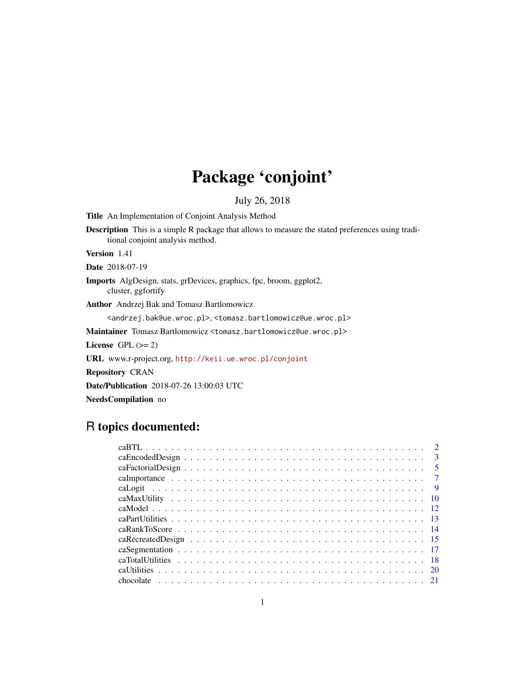# Package 'conjoint'

July 26, 2018

Title An Implementation of Conjoint Analysis Method

Description This is a simple R package that allows to measure the stated preferences using traditional conjoint analysis method.

Version 1.41

Date 2018-07-19

Imports AlgDesign, stats, grDevices, graphics, fpc, broom, ggplot2, cluster, ggfortify

Author Andrzej Bak and Tomasz Bartlomowicz

<andrzej.bak@ue.wroc.pl>, <tomasz.bartlomowicz@ue.wroc.pl>

Maintainer Tomasz Bartlomowicz <tomasz.bartlomowicz@ue.wroc.pl>

License GPL  $(>= 2)$ 

URL www.r-project.org, <http://keii.ue.wroc.pl/conjoint>

Repository CRAN

Date/Publication 2018-07-26 13:00:03 UTC

NeedsCompilation no

# R topics documented:

|  |  |  |  |  |  |  |  |  |  |  |  | $\mathbf{3}$   |
|--|--|--|--|--|--|--|--|--|--|--|--|----------------|
|  |  |  |  |  |  |  |  |  |  |  |  |                |
|  |  |  |  |  |  |  |  |  |  |  |  |                |
|  |  |  |  |  |  |  |  |  |  |  |  | $\overline{Q}$ |
|  |  |  |  |  |  |  |  |  |  |  |  |                |
|  |  |  |  |  |  |  |  |  |  |  |  |                |
|  |  |  |  |  |  |  |  |  |  |  |  |                |
|  |  |  |  |  |  |  |  |  |  |  |  |                |
|  |  |  |  |  |  |  |  |  |  |  |  |                |
|  |  |  |  |  |  |  |  |  |  |  |  |                |
|  |  |  |  |  |  |  |  |  |  |  |  |                |
|  |  |  |  |  |  |  |  |  |  |  |  |                |
|  |  |  |  |  |  |  |  |  |  |  |  |                |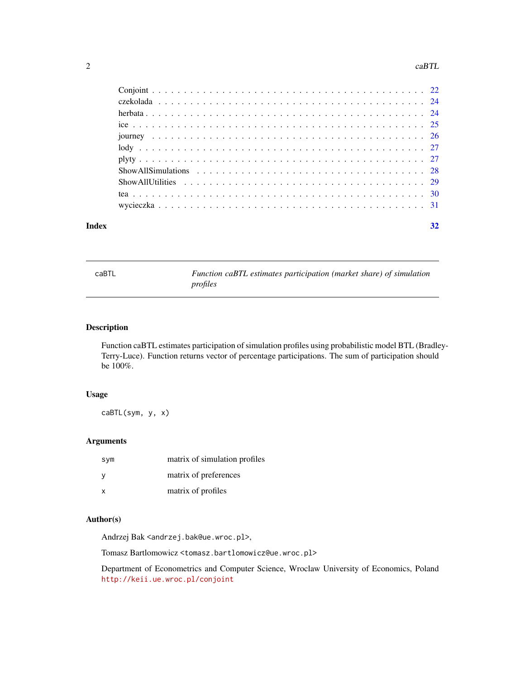#### <span id="page-1-0"></span>2 caBTL

|       | $Show All Simulations \dots \dots \dots \dots \dots \dots \dots \dots \dots \dots \dots \dots \dots \dots \ 28$ |  |
|-------|-----------------------------------------------------------------------------------------------------------------|--|
|       |                                                                                                                 |  |
|       |                                                                                                                 |  |
|       |                                                                                                                 |  |
| Index | 32                                                                                                              |  |

<span id="page-1-1"></span>

|--|

caBTL *Function caBTL estimates participation (market share) of simulation profiles*

# Description

Function caBTL estimates participation of simulation profiles using probabilistic model BTL (Bradley-Terry-Luce). Function returns vector of percentage participations. The sum of participation should be 100%.

# Usage

caBTL(sym, y, x)

# Arguments

| sym | matrix of simulation profiles |
|-----|-------------------------------|
|     | matrix of preferences         |
| x   | matrix of profiles            |

# Author(s)

Andrzej Bak <andrzej.bak@ue.wroc.pl>,

Tomasz Bartlomowicz <tomasz.bartlomowicz@ue.wroc.pl>

Department of Econometrics and Computer Science, Wroclaw University of Economics, Poland <http://keii.ue.wroc.pl/conjoint>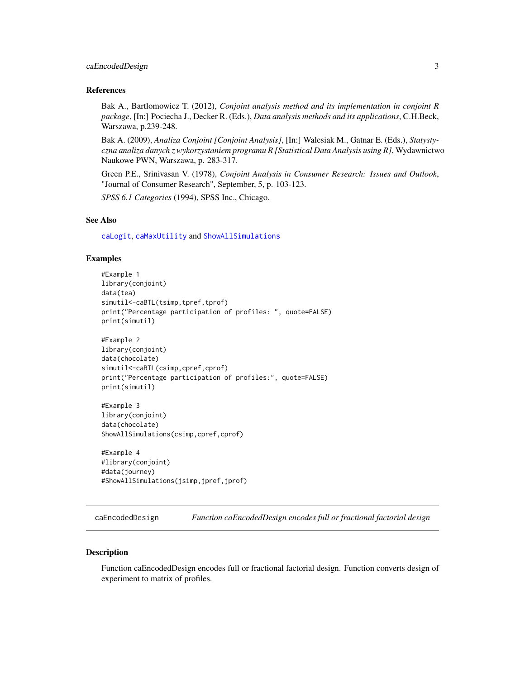# <span id="page-2-0"></span>caEncodedDesign 3

#### References

Bak A., Bartlomowicz T. (2012), *Conjoint analysis method and its implementation in conjoint R package*, [In:] Pociecha J., Decker R. (Eds.), *Data analysis methods and its applications*, C.H.Beck, Warszawa, p.239-248.

Bak A. (2009), *Analiza Conjoint [Conjoint Analysis]*, [In:] Walesiak M., Gatnar E. (Eds.), *Statystyczna analiza danych z wykorzystaniem programu R [Statistical Data Analysis using R]*, Wydawnictwo Naukowe PWN, Warszawa, p. 283-317.

Green P.E., Srinivasan V. (1978), *Conjoint Analysis in Consumer Research: Issues and Outlook*, "Journal of Consumer Research", September, 5, p. 103-123.

*SPSS 6.1 Categories* (1994), SPSS Inc., Chicago.

# See Also

[caLogit](#page-8-1), [caMaxUtility](#page-9-1) and [ShowAllSimulations](#page-27-1)

# Examples

```
#Example 1
library(conjoint)
data(tea)
simutil<-caBTL(tsimp,tpref,tprof)
print("Percentage participation of profiles: ", quote=FALSE)
print(simutil)
#Example 2
library(conjoint)
data(chocolate)
simutil<-caBTL(csimp,cpref,cprof)
```

```
print("Percentage participation of profiles:", quote=FALSE)
print(simutil)
```

```
#Example 3
library(conjoint)
data(chocolate)
ShowAllSimulations(csimp,cpref,cprof)
```

```
#Example 4
#library(conjoint)
#data(journey)
#ShowAllSimulations(jsimp,jpref,jprof)
```
<span id="page-2-1"></span>caEncodedDesign *Function caEncodedDesign encodes full or fractional factorial design*

#### Description

Function caEncodedDesign encodes full or fractional factorial design. Function converts design of experiment to matrix of profiles.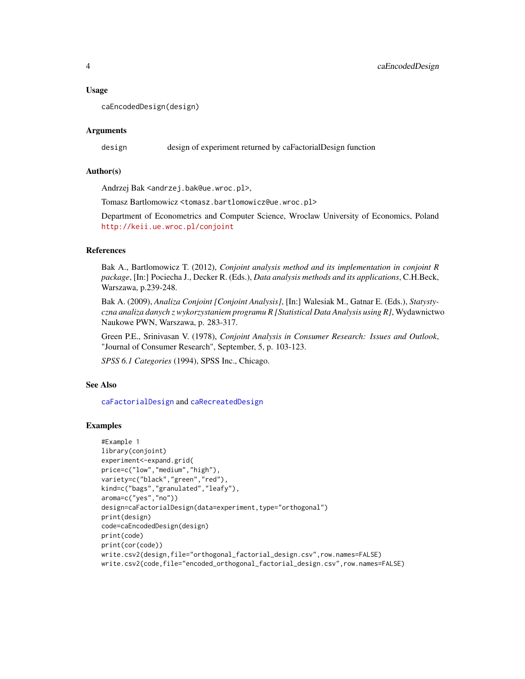#### <span id="page-3-0"></span>Usage

```
caEncodedDesign(design)
```
## Arguments

design design of experiment returned by caFactorialDesign function

#### Author(s)

Andrzej Bak <andrzej.bak@ue.wroc.pl>,

Tomasz Bartlomowicz <tomasz.bartlomowicz@ue.wroc.pl>

Department of Econometrics and Computer Science, Wroclaw University of Economics, Poland <http://keii.ue.wroc.pl/conjoint>

#### References

Bak A., Bartlomowicz T. (2012), *Conjoint analysis method and its implementation in conjoint R package*, [In:] Pociecha J., Decker R. (Eds.), *Data analysis methods and its applications*, C.H.Beck, Warszawa, p.239-248.

Bak A. (2009), *Analiza Conjoint [Conjoint Analysis]*, [In:] Walesiak M., Gatnar E. (Eds.), *Statystyczna analiza danych z wykorzystaniem programu R [Statistical Data Analysis using R]*, Wydawnictwo Naukowe PWN, Warszawa, p. 283-317.

Green P.E., Srinivasan V. (1978), *Conjoint Analysis in Consumer Research: Issues and Outlook*, "Journal of Consumer Research", September, 5, p. 103-123.

*SPSS 6.1 Categories* (1994), SPSS Inc., Chicago.

#### See Also

[caFactorialDesign](#page-4-1) and [caRecreatedDesign](#page-14-1)

```
#Example 1
library(conjoint)
experiment<-expand.grid(
price=c("low","medium","high"),
variety=c("black","green","red"),
kind=c("bags","granulated","leafy"),
aroma=c("yes","no"))
design=caFactorialDesign(data=experiment,type="orthogonal")
print(design)
code=caEncodedDesign(design)
print(code)
print(cor(code))
write.csv2(design,file="orthogonal_factorial_design.csv",row.names=FALSE)
write.csv2(code,file="encoded_orthogonal_factorial_design.csv",row.names=FALSE)
```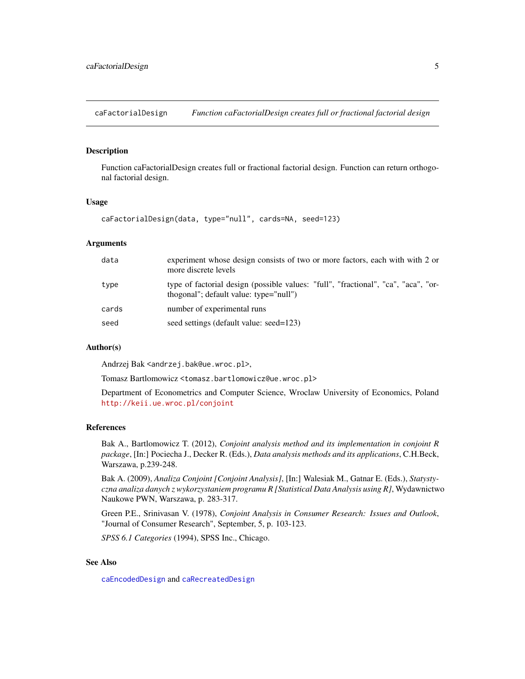<span id="page-4-1"></span><span id="page-4-0"></span>caFactorialDesign *Function caFactorialDesign creates full or fractional factorial design*

# Description

Function caFactorialDesign creates full or fractional factorial design. Function can return orthogonal factorial design.

# Usage

```
caFactorialDesign(data, type="null", cards=NA, seed=123)
```
# Arguments

| experiment whose design consists of two or more factors, each with with 2 or<br>more discrete levels                         |
|------------------------------------------------------------------------------------------------------------------------------|
| type of factorial design (possible values: "full", "fractional", "ca", "aca", "or-<br>thogonal"; default value: type="null") |
| number of experimental runs                                                                                                  |
| seed settings (default value: seed=123)                                                                                      |
|                                                                                                                              |

# Author(s)

Andrzej Bak <andrzej.bak@ue.wroc.pl>,

Tomasz Bartlomowicz <tomasz.bartlomowicz@ue.wroc.pl>

Department of Econometrics and Computer Science, Wroclaw University of Economics, Poland <http://keii.ue.wroc.pl/conjoint>

#### References

Bak A., Bartlomowicz T. (2012), *Conjoint analysis method and its implementation in conjoint R package*, [In:] Pociecha J., Decker R. (Eds.), *Data analysis methods and its applications*, C.H.Beck, Warszawa, p.239-248.

Bak A. (2009), *Analiza Conjoint [Conjoint Analysis]*, [In:] Walesiak M., Gatnar E. (Eds.), *Statystyczna analiza danych z wykorzystaniem programu R [Statistical Data Analysis using R]*, Wydawnictwo Naukowe PWN, Warszawa, p. 283-317.

Green P.E., Srinivasan V. (1978), *Conjoint Analysis in Consumer Research: Issues and Outlook*, "Journal of Consumer Research", September, 5, p. 103-123.

*SPSS 6.1 Categories* (1994), SPSS Inc., Chicago.

# See Also

[caEncodedDesign](#page-2-1) and [caRecreatedDesign](#page-14-1)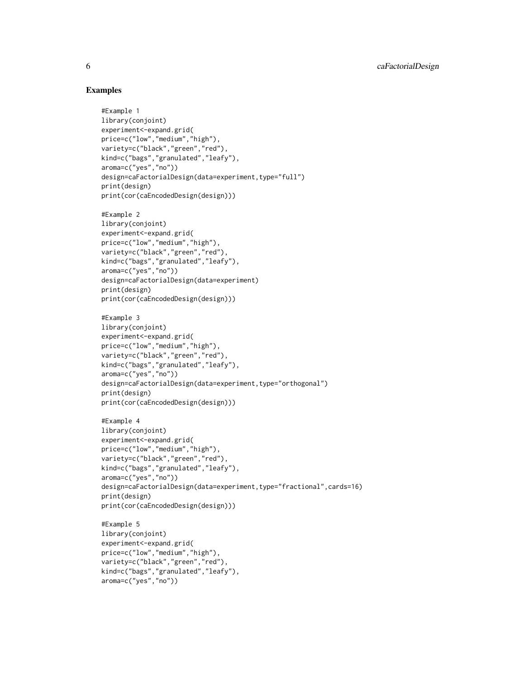```
#Example 1
library(conjoint)
experiment<-expand.grid(
price=c("low","medium","high"),
variety=c("black","green","red"),
kind=c("bags","granulated","leafy"),
aroma=c("yes","no"))
design=caFactorialDesign(data=experiment,type="full")
print(design)
print(cor(caEncodedDesign(design)))
#Example 2
library(conjoint)
experiment<-expand.grid(
price=c("low","medium","high"),
variety=c("black","green","red"),
kind=c("bags","granulated","leafy"),
aroma=c("yes","no"))
design=caFactorialDesign(data=experiment)
print(design)
print(cor(caEncodedDesign(design)))
#Example 3
library(conjoint)
experiment<-expand.grid(
price=c("low","medium","high"),
variety=c("black","green","red"),
kind=c("bags","granulated","leafy"),
aroma=c("yes","no"))
design=caFactorialDesign(data=experiment,type="orthogonal")
print(design)
print(cor(caEncodedDesign(design)))
#Example 4
library(conjoint)
experiment<-expand.grid(
price=c("low","medium","high"),
variety=c("black","green","red"),
kind=c("bags","granulated","leafy"),
aroma=c("yes","no"))
design=caFactorialDesign(data=experiment,type="fractional",cards=16)
print(design)
print(cor(caEncodedDesign(design)))
#Example 5
library(conjoint)
experiment<-expand.grid(
price=c("low","medium","high"),
variety=c("black","green","red"),
kind=c("bags","granulated","leafy"),
aroma=c("yes","no"))
```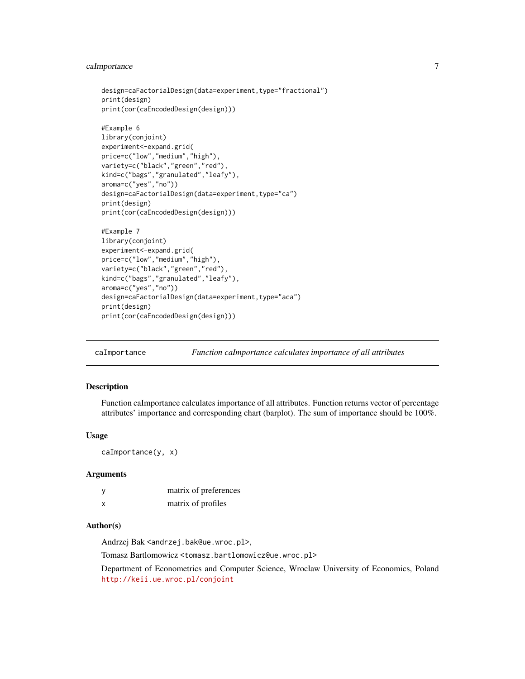# <span id="page-6-0"></span>caImportance 7

```
design=caFactorialDesign(data=experiment,type="fractional")
print(design)
print(cor(caEncodedDesign(design)))
#Example 6
library(conjoint)
experiment<-expand.grid(
price=c("low","medium","high"),
variety=c("black","green","red"),
kind=c("bags","granulated","leafy"),
aroma=c("yes","no"))
design=caFactorialDesign(data=experiment,type="ca")
print(design)
print(cor(caEncodedDesign(design)))
#Example 7
library(conjoint)
experiment<-expand.grid(
price=c("low","medium","high"),
variety=c("black","green","red"),
kind=c("bags","granulated","leafy"),
aroma=c("yes","no"))
design=caFactorialDesign(data=experiment,type="aca")
print(design)
print(cor(caEncodedDesign(design)))
```
<span id="page-6-1"></span>caImportance *Function caImportance calculates importance of all attributes*

# Description

Function caImportance calculates importance of all attributes. Function returns vector of percentage attributes' importance and corresponding chart (barplot). The sum of importance should be 100%.

#### Usage

caImportance(y, x)

#### Arguments

|   | matrix of preferences |
|---|-----------------------|
| x | matrix of profiles    |

#### Author(s)

Andrzej Bak <andrzej.bak@ue.wroc.pl>,

Tomasz Bartlomowicz <tomasz.bartlomowicz@ue.wroc.pl>

Department of Econometrics and Computer Science, Wroclaw University of Economics, Poland <http://keii.ue.wroc.pl/conjoint>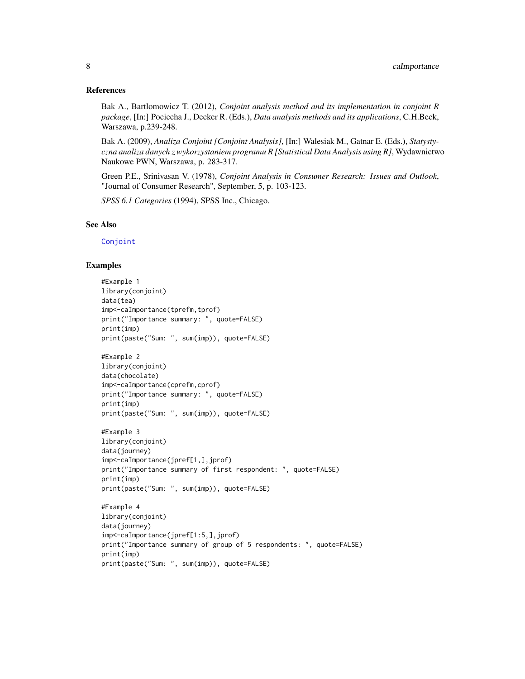#### <span id="page-7-0"></span>References

Bak A., Bartlomowicz T. (2012), *Conjoint analysis method and its implementation in conjoint R package*, [In:] Pociecha J., Decker R. (Eds.), *Data analysis methods and its applications*, C.H.Beck, Warszawa, p.239-248.

Bak A. (2009), *Analiza Conjoint [Conjoint Analysis]*, [In:] Walesiak M., Gatnar E. (Eds.), *Statystyczna analiza danych z wykorzystaniem programu R [Statistical Data Analysis using R]*, Wydawnictwo Naukowe PWN, Warszawa, p. 283-317.

Green P.E., Srinivasan V. (1978), *Conjoint Analysis in Consumer Research: Issues and Outlook*, "Journal of Consumer Research", September, 5, p. 103-123.

*SPSS 6.1 Categories* (1994), SPSS Inc., Chicago.

# See Also

[Conjoint](#page-21-1)

```
#Example 1
library(conjoint)
data(tea)
imp<-caImportance(tprefm,tprof)
print("Importance summary: ", quote=FALSE)
print(imp)
print(paste("Sum: ", sum(imp)), quote=FALSE)
#Example 2
library(conjoint)
data(chocolate)
imp<-caImportance(cprefm,cprof)
print("Importance summary: ", quote=FALSE)
print(imp)
print(paste("Sum: ", sum(imp)), quote=FALSE)
#Example 3
library(conjoint)
data(journey)
imp<-caImportance(jpref[1,],jprof)
print("Importance summary of first respondent: ", quote=FALSE)
print(imp)
print(paste("Sum: ", sum(imp)), quote=FALSE)
#Example 4
library(conjoint)
data(journey)
imp<-caImportance(jpref[1:5,],jprof)
print("Importance summary of group of 5 respondents: ", quote=FALSE)
print(imp)
print(paste("Sum: ", sum(imp)), quote=FALSE)
```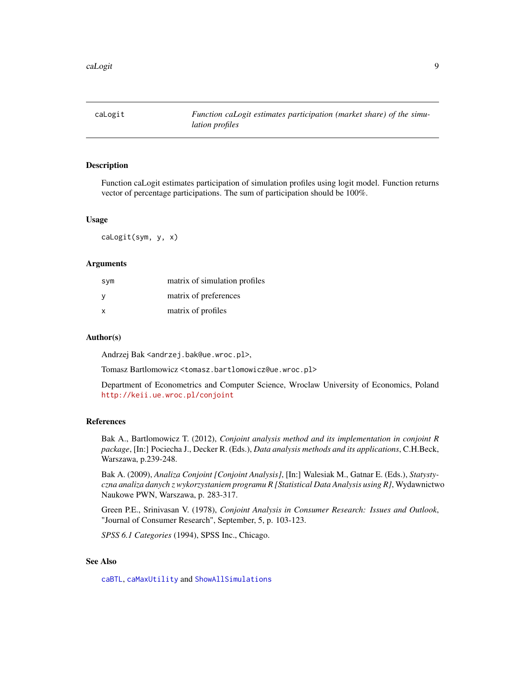<span id="page-8-1"></span><span id="page-8-0"></span>caLogit *Function caLogit estimates participation (market share) of the simulation profiles*

# **Description**

Function caLogit estimates participation of simulation profiles using logit model. Function returns vector of percentage participations. The sum of participation should be 100%.

#### Usage

caLogit(sym, y, x)

# Arguments

| sym                       | matrix of simulation profiles |
|---------------------------|-------------------------------|
| y                         | matrix of preferences         |
| $\boldsymbol{\mathsf{x}}$ | matrix of profiles            |

# Author(s)

Andrzej Bak <andrzej.bak@ue.wroc.pl>,

Tomasz Bartlomowicz <tomasz.bartlomowicz@ue.wroc.pl>

Department of Econometrics and Computer Science, Wroclaw University of Economics, Poland <http://keii.ue.wroc.pl/conjoint>

# References

Bak A., Bartlomowicz T. (2012), *Conjoint analysis method and its implementation in conjoint R package*, [In:] Pociecha J., Decker R. (Eds.), *Data analysis methods and its applications*, C.H.Beck, Warszawa, p.239-248.

Bak A. (2009), *Analiza Conjoint [Conjoint Analysis]*, [In:] Walesiak M., Gatnar E. (Eds.), *Statystyczna analiza danych z wykorzystaniem programu R [Statistical Data Analysis using R]*, Wydawnictwo Naukowe PWN, Warszawa, p. 283-317.

Green P.E., Srinivasan V. (1978), *Conjoint Analysis in Consumer Research: Issues and Outlook*, "Journal of Consumer Research", September, 5, p. 103-123.

*SPSS 6.1 Categories* (1994), SPSS Inc., Chicago.

# See Also

[caBTL](#page-1-1), [caMaxUtility](#page-9-1) and [ShowAllSimulations](#page-27-1)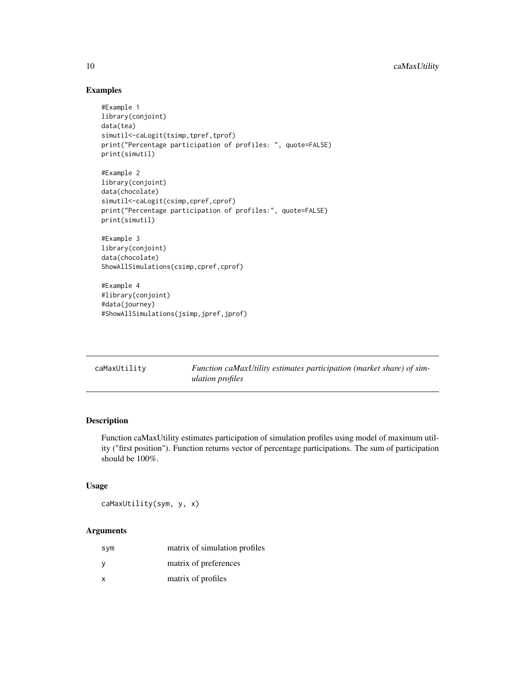# Examples

```
#Example 1
library(conjoint)
data(tea)
simutil<-caLogit(tsimp,tpref,tprof)
print("Percentage participation of profiles: ", quote=FALSE)
print(simutil)
```

```
#Example 2
library(conjoint)
data(chocolate)
simutil<-caLogit(csimp,cpref,cprof)
print("Percentage participation of profiles:", quote=FALSE)
print(simutil)
```
#Example 3 library(conjoint) data(chocolate) ShowAllSimulations(csimp,cpref,cprof)

#Example 4 #library(conjoint) #data(journey) #ShowAllSimulations(jsimp,jpref,jprof)

<span id="page-9-1"></span>

| caMaxUtility | Function caMaxUtility estimates participation (market share) of sim- |
|--------------|----------------------------------------------------------------------|
|              | <i>ulation profiles</i>                                              |

# Description

Function caMaxUtility estimates participation of simulation profiles using model of maximum utility ("first position"). Function returns vector of percentage participations. The sum of participation should be 100%.

# Usage

caMaxUtility(sym, y, x)

# Arguments

| sym          | matrix of simulation profiles |
|--------------|-------------------------------|
| <sub>V</sub> | matrix of preferences         |
| X            | matrix of profiles            |

<span id="page-9-0"></span>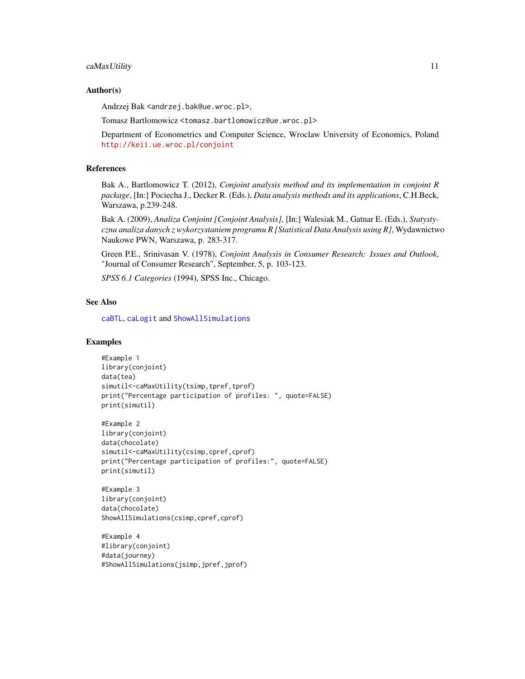#### <span id="page-10-0"></span>caMaxUtility 11

#### Author(s)

Andrzej Bak <andrzej.bak@ue.wroc.pl>,

Tomasz Bartlomowicz <tomasz.bartlomowicz@ue.wroc.pl>

Department of Econometrics and Computer Science, Wroclaw University of Economics, Poland <http://keii.ue.wroc.pl/conjoint>

# **References**

Bak A., Bartlomowicz T. (2012), *Conjoint analysis method and its implementation in conjoint R package*, [In:] Pociecha J., Decker R. (Eds.), *Data analysis methods and its applications*, C.H.Beck, Warszawa, p.239-248.

Bak A. (2009), *Analiza Conjoint [Conjoint Analysis]*, [In:] Walesiak M., Gatnar E. (Eds.), *Statystyczna analiza danych z wykorzystaniem programu R [Statistical Data Analysis using R]*, Wydawnictwo Naukowe PWN, Warszawa, p. 283-317.

Green P.E., Srinivasan V. (1978), *Conjoint Analysis in Consumer Research: Issues and Outlook*, "Journal of Consumer Research", September, 5, p. 103-123.

*SPSS 6.1 Categories* (1994), SPSS Inc., Chicago.

# See Also

[caBTL](#page-1-1), [caLogit](#page-8-1) and [ShowAllSimulations](#page-27-1)

```
#Example 1
library(conjoint)
data(tea)
simutil<-caMaxUtility(tsimp,tpref,tprof)
print("Percentage participation of profiles: ", quote=FALSE)
print(simutil)
```

```
#Example 2
library(conjoint)
data(chocolate)
simutil<-caMaxUtility(csimp,cpref,cprof)
print("Percentage participation of profiles:", quote=FALSE)
print(simutil)
```

```
#Example 3
library(conjoint)
data(chocolate)
ShowAllSimulations(csimp,cpref,cprof)
```

```
#Example 4
#library(conjoint)
#data(journey)
#ShowAllSimulations(jsimp,jpref,jprof)
```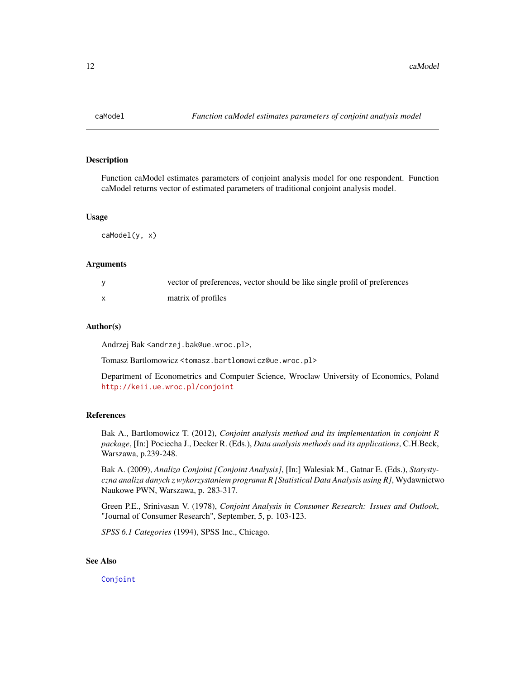<span id="page-11-0"></span>

# **Description**

Function caModel estimates parameters of conjoint analysis model for one respondent. Function caModel returns vector of estimated parameters of traditional conjoint analysis model.

#### Usage

caModel(y, x)

## Arguments

| vector of preferences, vector should be like single profil of preferences |
|---------------------------------------------------------------------------|
| matrix of profiles                                                        |

#### Author(s)

Andrzej Bak <andrzej.bak@ue.wroc.pl>,

Tomasz Bartlomowicz <tomasz.bartlomowicz@ue.wroc.pl>

Department of Econometrics and Computer Science, Wroclaw University of Economics, Poland <http://keii.ue.wroc.pl/conjoint>

# References

Bak A., Bartlomowicz T. (2012), *Conjoint analysis method and its implementation in conjoint R package*, [In:] Pociecha J., Decker R. (Eds.), *Data analysis methods and its applications*, C.H.Beck, Warszawa, p.239-248.

Bak A. (2009), *Analiza Conjoint [Conjoint Analysis]*, [In:] Walesiak M., Gatnar E. (Eds.), *Statystyczna analiza danych z wykorzystaniem programu R [Statistical Data Analysis using R]*, Wydawnictwo Naukowe PWN, Warszawa, p. 283-317.

Green P.E., Srinivasan V. (1978), *Conjoint Analysis in Consumer Research: Issues and Outlook*, "Journal of Consumer Research", September, 5, p. 103-123.

*SPSS 6.1 Categories* (1994), SPSS Inc., Chicago.

# See Also

[Conjoint](#page-21-1)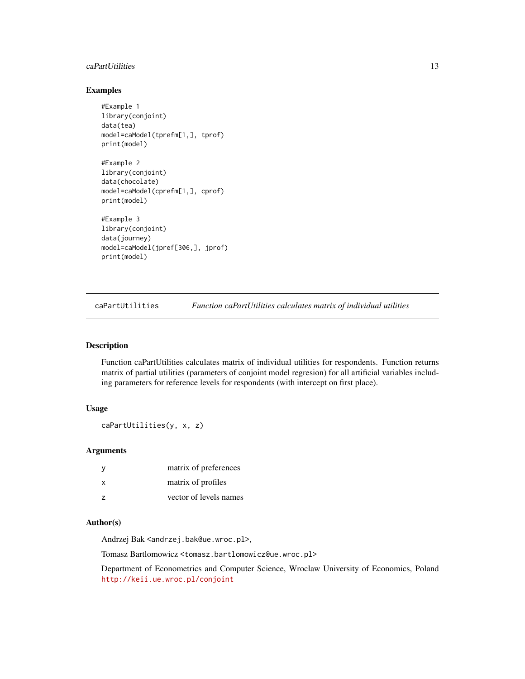# <span id="page-12-0"></span>caPartUtilities 13

# Examples

```
#Example 1
library(conjoint)
data(tea)
model=caModel(tprefm[1,], tprof)
print(model)
#Example 2
library(conjoint)
data(chocolate)
model=caModel(cprefm[1,], cprof)
print(model)
#Example 3
library(conjoint)
data(journey)
model=caModel(jpref[306,], jprof)
print(model)
```
<span id="page-12-1"></span>caPartUtilities *Function caPartUtilities calculates matrix of individual utilities*

# Description

Function caPartUtilities calculates matrix of individual utilities for respondents. Function returns matrix of partial utilities (parameters of conjoint model regresion) for all artificial variables including parameters for reference levels for respondents (with intercept on first place).

# Usage

```
caPartUtilities(y, x, z)
```
# **Arguments**

| - y            | matrix of preferences  |
|----------------|------------------------|
| X              | matrix of profiles     |
| $\overline{z}$ | vector of levels names |

# Author(s)

Andrzej Bak <andrzej.bak@ue.wroc.pl>,

Tomasz Bartlomowicz <tomasz.bartlomowicz@ue.wroc.pl>

Department of Econometrics and Computer Science, Wroclaw University of Economics, Poland <http://keii.ue.wroc.pl/conjoint>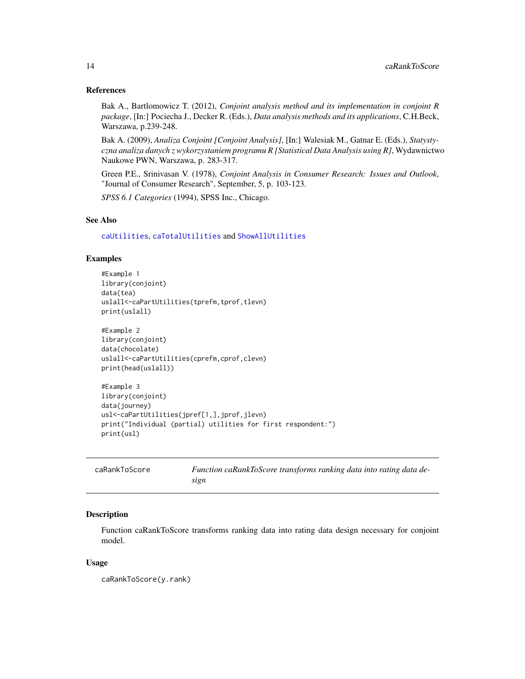#### <span id="page-13-0"></span>References

Bak A., Bartlomowicz T. (2012), *Conjoint analysis method and its implementation in conjoint R package*, [In:] Pociecha J., Decker R. (Eds.), *Data analysis methods and its applications*, C.H.Beck, Warszawa, p.239-248.

Bak A. (2009), *Analiza Conjoint [Conjoint Analysis]*, [In:] Walesiak M., Gatnar E. (Eds.), *Statystyczna analiza danych z wykorzystaniem programu R [Statistical Data Analysis using R]*, Wydawnictwo Naukowe PWN, Warszawa, p. 283-317.

Green P.E., Srinivasan V. (1978), *Conjoint Analysis in Consumer Research: Issues and Outlook*, "Journal of Consumer Research", September, 5, p. 103-123.

*SPSS 6.1 Categories* (1994), SPSS Inc., Chicago.

# See Also

[caUtilities](#page-19-1), [caTotalUtilities](#page-17-1) and [ShowAllUtilities](#page-28-1)

#### Examples

#Example 1 library(conjoint) data(tea) uslall<-caPartUtilities(tprefm,tprof,tlevn) print(uslall)

#Example 2 library(conjoint) data(chocolate) uslall<-caPartUtilities(cprefm,cprof,clevn) print(head(uslall))

```
#Example 3
library(conjoint)
data(journey)
usl<-caPartUtilities(jpref[1,],jprof,jlevn)
print("Individual (partial) utilities for first respondent:")
print(usl)
```

| caRankToScore | Function caRankToScore transforms ranking data into rating data de- |
|---------------|---------------------------------------------------------------------|
|               | sıgn                                                                |

# Description

Function caRankToScore transforms ranking data into rating data design necessary for conjoint model.

#### Usage

caRankToScore(y.rank)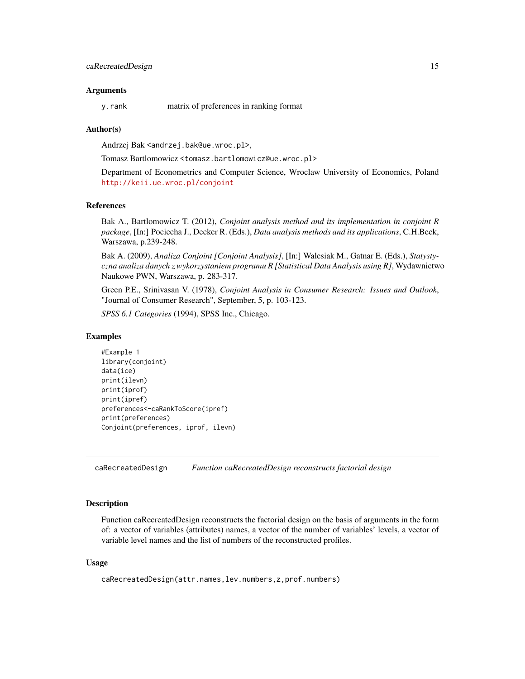#### <span id="page-14-0"></span>Arguments

y.rank matrix of preferences in ranking format

#### Author(s)

Andrzej Bak <andrzej.bak@ue.wroc.pl>,

Tomasz Bartlomowicz <tomasz.bartlomowicz@ue.wroc.pl>

Department of Econometrics and Computer Science, Wroclaw University of Economics, Poland <http://keii.ue.wroc.pl/conjoint>

#### References

Bak A., Bartlomowicz T. (2012), *Conjoint analysis method and its implementation in conjoint R package*, [In:] Pociecha J., Decker R. (Eds.), *Data analysis methods and its applications*, C.H.Beck, Warszawa, p.239-248.

Bak A. (2009), *Analiza Conjoint [Conjoint Analysis]*, [In:] Walesiak M., Gatnar E. (Eds.), *Statystyczna analiza danych z wykorzystaniem programu R [Statistical Data Analysis using R]*, Wydawnictwo Naukowe PWN, Warszawa, p. 283-317.

Green P.E., Srinivasan V. (1978), *Conjoint Analysis in Consumer Research: Issues and Outlook*, "Journal of Consumer Research", September, 5, p. 103-123.

*SPSS 6.1 Categories* (1994), SPSS Inc., Chicago.

#### Examples

```
#Example 1
library(conjoint)
data(ice)
print(ilevn)
print(iprof)
print(ipref)
preferences<-caRankToScore(ipref)
print(preferences)
Conjoint(preferences, iprof, ilevn)
```
<span id="page-14-1"></span>caRecreatedDesign *Function caRecreatedDesign reconstructs factorial design*

# Description

Function caRecreatedDesign reconstructs the factorial design on the basis of arguments in the form of: a vector of variables (attributes) names, a vector of the number of variables' levels, a vector of variable level names and the list of numbers of the reconstructed profiles.

#### Usage

caRecreatedDesign(attr.names,lev.numbers,z,prof.numbers)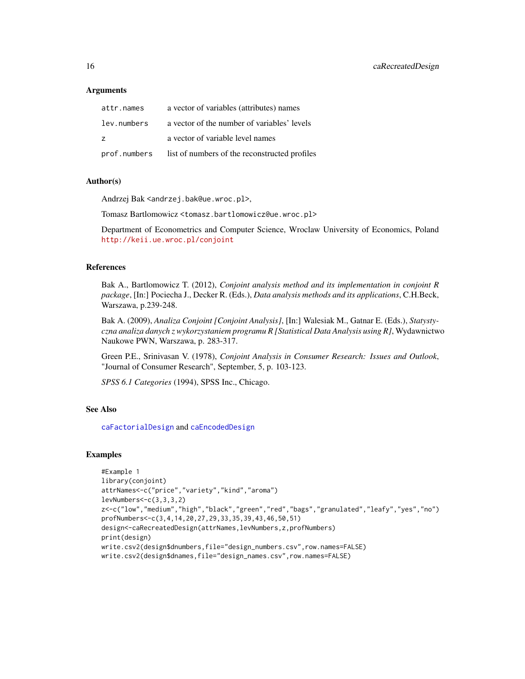# <span id="page-15-0"></span>Arguments

| attr.names   | a vector of variables (attributes) names      |
|--------------|-----------------------------------------------|
| lev.numbers  | a vector of the number of variables' levels   |
| z            | a vector of variable level names              |
| prof.numbers | list of numbers of the reconstructed profiles |

#### Author(s)

Andrzej Bak <andrzej.bak@ue.wroc.pl>,

Tomasz Bartlomowicz <tomasz.bartlomowicz@ue.wroc.pl>

Department of Econometrics and Computer Science, Wroclaw University of Economics, Poland <http://keii.ue.wroc.pl/conjoint>

# References

Bak A., Bartlomowicz T. (2012), *Conjoint analysis method and its implementation in conjoint R package*, [In:] Pociecha J., Decker R. (Eds.), *Data analysis methods and its applications*, C.H.Beck, Warszawa, p.239-248.

Bak A. (2009), *Analiza Conjoint [Conjoint Analysis]*, [In:] Walesiak M., Gatnar E. (Eds.), *Statystyczna analiza danych z wykorzystaniem programu R [Statistical Data Analysis using R]*, Wydawnictwo Naukowe PWN, Warszawa, p. 283-317.

Green P.E., Srinivasan V. (1978), *Conjoint Analysis in Consumer Research: Issues and Outlook*, "Journal of Consumer Research", September, 5, p. 103-123.

*SPSS 6.1 Categories* (1994), SPSS Inc., Chicago.

#### See Also

[caFactorialDesign](#page-4-1) and [caEncodedDesign](#page-2-1)

```
#Example 1
library(conjoint)
attrNames<-c("price","variety","kind","aroma")
levNumbers<-c(3,3,3,2)
z<-c("low","medium","high","black","green","red","bags","granulated","leafy","yes","no")
profNumbers<-c(3,4,14,20,27,29,33,35,39,43,46,50,51)
design<-caRecreatedDesign(attrNames,levNumbers,z,profNumbers)
print(design)
write.csv2(design$dnumbers,file="design_numbers.csv",row.names=FALSE)
write.csv2(design$dnames,file="design_names.csv",row.names=FALSE)
```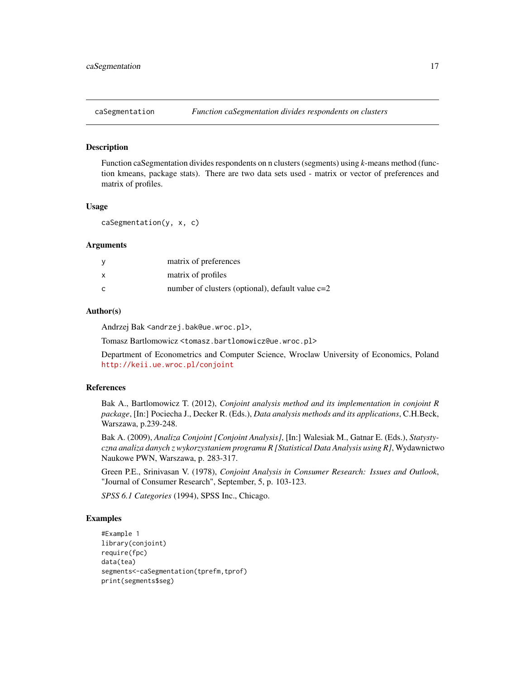<span id="page-16-0"></span>

#### **Description**

Function caSegmentation divides respondents on n clusters (segments) using *k*-means method (function kmeans, package stats). There are two data sets used - matrix or vector of preferences and matrix of profiles.

#### Usage

caSegmentation(y, x, c)

#### Arguments

| <b>V</b> | matrix of preferences                              |
|----------|----------------------------------------------------|
| $\times$ | matrix of profiles                                 |
| C        | number of clusters (optional), default value $c=2$ |

#### Author(s)

Andrzej Bak <andrzej.bak@ue.wroc.pl>,

Tomasz Bartlomowicz <tomasz.bartlomowicz@ue.wroc.pl>

Department of Econometrics and Computer Science, Wroclaw University of Economics, Poland <http://keii.ue.wroc.pl/conjoint>

# References

Bak A., Bartlomowicz T. (2012), *Conjoint analysis method and its implementation in conjoint R package*, [In:] Pociecha J., Decker R. (Eds.), *Data analysis methods and its applications*, C.H.Beck, Warszawa, p.239-248.

Bak A. (2009), *Analiza Conjoint [Conjoint Analysis]*, [In:] Walesiak M., Gatnar E. (Eds.), *Statystyczna analiza danych z wykorzystaniem programu R [Statistical Data Analysis using R]*, Wydawnictwo Naukowe PWN, Warszawa, p. 283-317.

Green P.E., Srinivasan V. (1978), *Conjoint Analysis in Consumer Research: Issues and Outlook*, "Journal of Consumer Research", September, 5, p. 103-123.

*SPSS 6.1 Categories* (1994), SPSS Inc., Chicago.

```
#Example 1
library(conjoint)
require(fpc)
data(tea)
segments<-caSegmentation(tprefm,tprof)
print(segments$seg)
```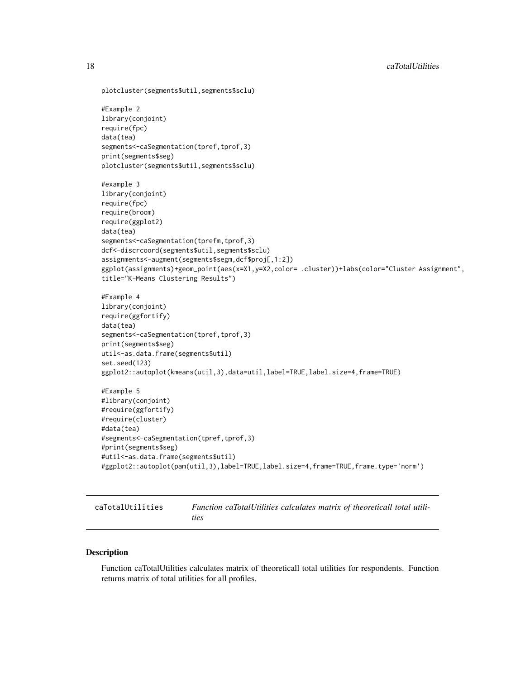```
plotcluster(segments$util,segments$sclu)
#Example 2
library(conjoint)
require(fpc)
data(tea)
segments<-caSegmentation(tpref,tprof,3)
print(segments$seg)
plotcluster(segments$util,segments$sclu)
#example 3
library(conjoint)
require(fpc)
require(broom)
require(ggplot2)
data(tea)
segments<-caSegmentation(tprefm,tprof,3)
dcf<-discrcoord(segments$util,segments$sclu)
assignments<-augment(segments$segm,dcf$proj[,1:2])
ggplot(assignments)+geom_point(aes(x=X1,y=X2,color= .cluster))+labs(color="Cluster Assignment",
title="K-Means Clustering Results")
#Example 4
library(conjoint)
require(ggfortify)
data(tea)
segments<-caSegmentation(tpref,tprof,3)
print(segments$seg)
util<-as.data.frame(segments$util)
set.seed(123)
ggplot2::autoplot(kmeans(util,3),data=util,label=TRUE,label.size=4,frame=TRUE)
#Example 5
#library(conjoint)
#require(ggfortify)
#require(cluster)
#data(tea)
#segments<-caSegmentation(tpref,tprof,3)
#print(segments$seg)
#util<-as.data.frame(segments$util)
#ggplot2::autoplot(pam(util,3),label=TRUE,label.size=4,frame=TRUE,frame.type='norm')
```
<span id="page-17-1"></span>

| caTotalUtilities | Function caTotalUtilities calculates matrix of theoreticall total utili- |
|------------------|--------------------------------------------------------------------------|
|                  | ties                                                                     |

# **Description**

Function caTotalUtilities calculates matrix of theoreticall total utilities for respondents. Function returns matrix of total utilities for all profiles.

<span id="page-17-0"></span>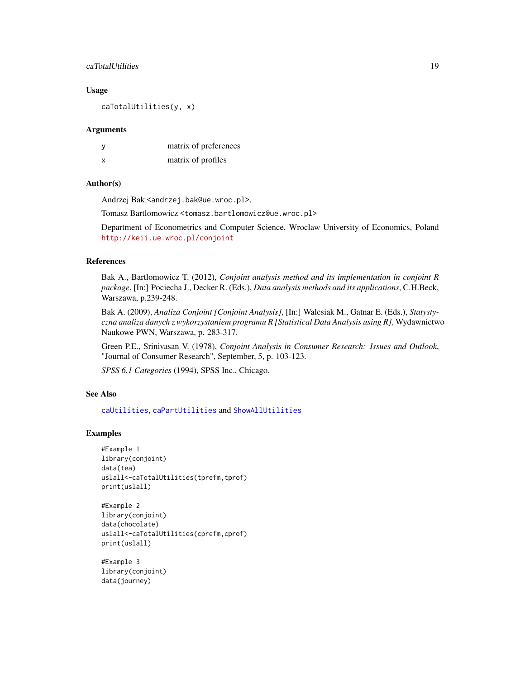# <span id="page-18-0"></span>caTotalUtilities 19

#### Usage

caTotalUtilities(y, x)

#### Arguments

| у | matrix of preferences |
|---|-----------------------|
| X | matrix of profiles    |

# Author(s)

Andrzej Bak <andrzej.bak@ue.wroc.pl>,

Tomasz Bartlomowicz <tomasz.bartlomowicz@ue.wroc.pl>

Department of Econometrics and Computer Science, Wroclaw University of Economics, Poland <http://keii.ue.wroc.pl/conjoint>

# References

Bak A., Bartlomowicz T. (2012), *Conjoint analysis method and its implementation in conjoint R package*, [In:] Pociecha J., Decker R. (Eds.), *Data analysis methods and its applications*, C.H.Beck, Warszawa, p.239-248.

Bak A. (2009), *Analiza Conjoint [Conjoint Analysis]*, [In:] Walesiak M., Gatnar E. (Eds.), *Statystyczna analiza danych z wykorzystaniem programu R [Statistical Data Analysis using R]*, Wydawnictwo Naukowe PWN, Warszawa, p. 283-317.

Green P.E., Srinivasan V. (1978), *Conjoint Analysis in Consumer Research: Issues and Outlook*, "Journal of Consumer Research", September, 5, p. 103-123.

*SPSS 6.1 Categories* (1994), SPSS Inc., Chicago.

# See Also

[caUtilities](#page-19-1), [caPartUtilities](#page-12-1) and [ShowAllUtilities](#page-28-1)

#### Examples

```
#Example 1
library(conjoint)
data(tea)
uslall<-caTotalUtilities(tprefm,tprof)
print(uslall)
```
#Example 2 library(conjoint) data(chocolate) uslall<-caTotalUtilities(cprefm,cprof) print(uslall)

#Example 3 library(conjoint) data(journey)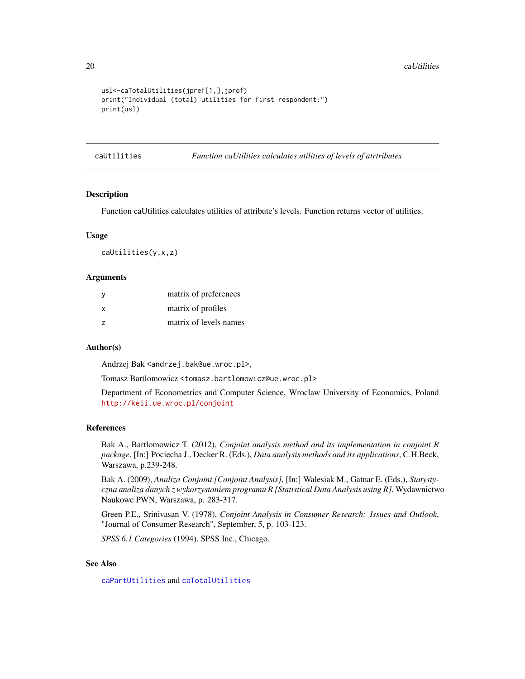#### 20 caUtilities and the contract of the contract of the contract of the contract of the contract of the contract of the contract of the contract of the contract of the contract of the contract of the contract of the contrac

```
usl<-caTotalUtilities(jpref[1,],jprof)
print("Individual (total) utilities for first respondent:")
print(usl)
```
<span id="page-19-1"></span>caUtilities *Function caUtilities calculates utilities of levels of atrtributes*

# Description

Function caUtilities calculates utilities of attribute's levels. Function returns vector of utilities.

#### Usage

caUtilities(y,x,z)

#### Arguments

| - V            | matrix of preferences  |
|----------------|------------------------|
| X              | matrix of profiles     |
| $\overline{z}$ | matrix of levels names |

# Author(s)

Andrzej Bak <andrzej.bak@ue.wroc.pl>,

Tomasz Bartlomowicz <tomasz.bartlomowicz@ue.wroc.pl>

Department of Econometrics and Computer Science, Wroclaw University of Economics, Poland <http://keii.ue.wroc.pl/conjoint>

#### References

Bak A., Bartlomowicz T. (2012), *Conjoint analysis method and its implementation in conjoint R package*, [In:] Pociecha J., Decker R. (Eds.), *Data analysis methods and its applications*, C.H.Beck, Warszawa, p.239-248.

Bak A. (2009), *Analiza Conjoint [Conjoint Analysis]*, [In:] Walesiak M., Gatnar E. (Eds.), *Statystyczna analiza danych z wykorzystaniem programu R [Statistical Data Analysis using R]*, Wydawnictwo Naukowe PWN, Warszawa, p. 283-317.

Green P.E., Srinivasan V. (1978), *Conjoint Analysis in Consumer Research: Issues and Outlook*, "Journal of Consumer Research", September, 5, p. 103-123.

*SPSS 6.1 Categories* (1994), SPSS Inc., Chicago.

# See Also

[caPartUtilities](#page-12-1) and [caTotalUtilities](#page-17-1)

<span id="page-19-0"></span>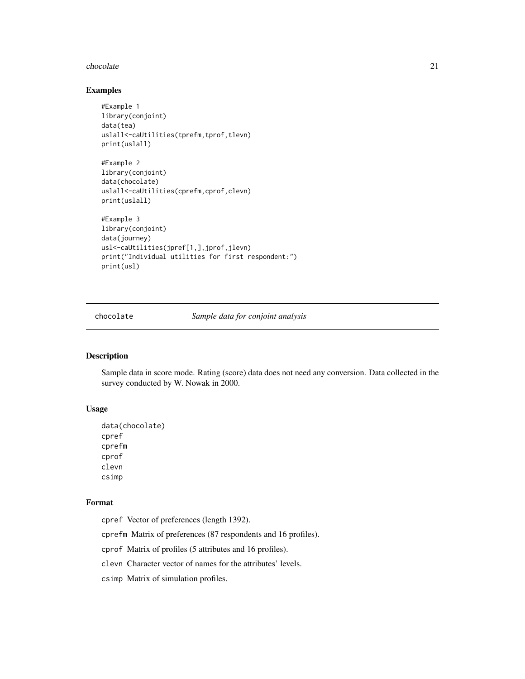#### <span id="page-20-0"></span>chocolate 21

# Examples

```
#Example 1
library(conjoint)
data(tea)
uslall<-caUtilities(tprefm,tprof,tlevn)
print(uslall)
#Example 2
library(conjoint)
data(chocolate)
uslall<-caUtilities(cprefm,cprof,clevn)
print(uslall)
#Example 3
library(conjoint)
data(journey)
usl<-caUtilities(jpref[1,],jprof,jlevn)
print("Individual utilities for first respondent:")
print(usl)
```
chocolate *Sample data for conjoint analysis*

# Description

Sample data in score mode. Rating (score) data does not need any conversion. Data collected in the survey conducted by W. Nowak in 2000.

# Usage

```
data(chocolate)
cpref
cprefm
cprof
clevn
csimp
```
#### Format

cpref Vector of preferences (length 1392).

cprefm Matrix of preferences (87 respondents and 16 profiles).

cprof Matrix of profiles (5 attributes and 16 profiles).

clevn Character vector of names for the attributes' levels.

csimp Matrix of simulation profiles.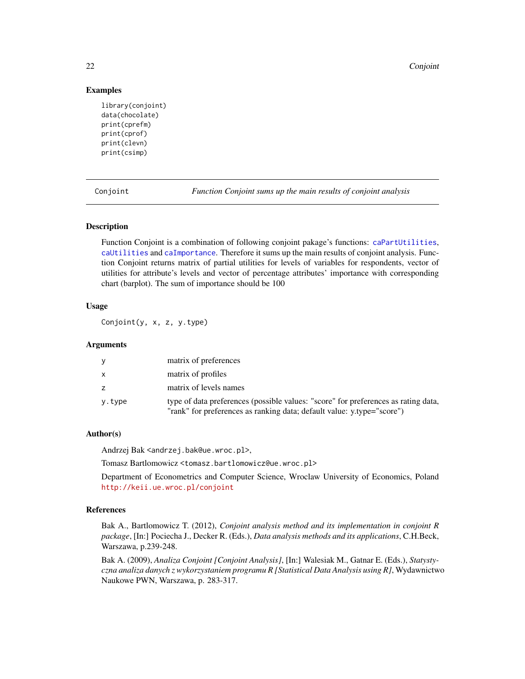<span id="page-21-0"></span>22 Conjoint

# Examples

```
library(conjoint)
data(chocolate)
print(cprefm)
print(cprof)
print(clevn)
print(csimp)
```
<span id="page-21-1"></span>Conjoint *Function Conjoint sums up the main results of conjoint analysis*

#### Description

Function Conjoint is a combination of following conjoint pakage's functions: [caPartUtilities](#page-12-1), [caUtilities](#page-19-1) and [caImportance](#page-6-1). Therefore it sums up the main results of conjoint analysis. Function Conjoint returns matrix of partial utilities for levels of variables for respondents, vector of utilities for attribute's levels and vector of percentage attributes' importance with corresponding chart (barplot). The sum of importance should be 100

# Usage

Conjoint(y, x, z, y.type)

# Arguments

| V      | matrix of preferences                                                                                                                                        |
|--------|--------------------------------------------------------------------------------------------------------------------------------------------------------------|
| X      | matrix of profiles                                                                                                                                           |
| z      | matrix of levels names                                                                                                                                       |
| y.type | type of data preferences (possible values: "score" for preferences as rating data,<br>"rank" for preferences as ranking data; default value: y.type="score") |

# Author(s)

Andrzej Bak <andrzej.bak@ue.wroc.pl>,

Tomasz Bartlomowicz <tomasz.bartlomowicz@ue.wroc.pl>

Department of Econometrics and Computer Science, Wroclaw University of Economics, Poland <http://keii.ue.wroc.pl/conjoint>

# References

Bak A., Bartlomowicz T. (2012), *Conjoint analysis method and its implementation in conjoint R package*, [In:] Pociecha J., Decker R. (Eds.), *Data analysis methods and its applications*, C.H.Beck, Warszawa, p.239-248.

Bak A. (2009), *Analiza Conjoint [Conjoint Analysis]*, [In:] Walesiak M., Gatnar E. (Eds.), *Statystyczna analiza danych z wykorzystaniem programu R [Statistical Data Analysis using R]*, Wydawnictwo Naukowe PWN, Warszawa, p. 283-317.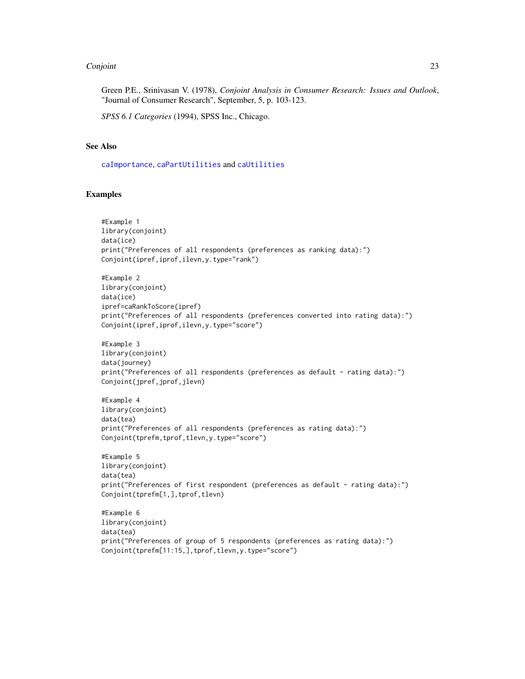#### <span id="page-22-0"></span>Conjoint 23

Green P.E., Srinivasan V. (1978), *Conjoint Analysis in Consumer Research: Issues and Outlook*, "Journal of Consumer Research", September, 5, p. 103-123.

*SPSS 6.1 Categories* (1994), SPSS Inc., Chicago.

## See Also

[caImportance](#page-6-1), [caPartUtilities](#page-12-1) and [caUtilities](#page-19-1)

```
#Example 1
library(conjoint)
data(ice)
print("Preferences of all respondents (preferences as ranking data):")
Conjoint(ipref,iprof,ilevn,y.type="rank")
#Example 2
library(conjoint)
data(ice)
ipref=caRankToScore(ipref)
print("Preferences of all respondents (preferences converted into rating data):")
Conjoint(ipref,iprof,ilevn,y.type="score")
#Example 3
library(conjoint)
data(journey)
print("Preferences of all respondents (preferences as default - rating data):")
Conjoint(jpref,jprof,jlevn)
#Example 4
library(conjoint)
data(tea)
print("Preferences of all respondents (preferences as rating data):")
Conjoint(tprefm,tprof,tlevn,y.type="score")
#Example 5
library(conjoint)
data(tea)
print("Preferences of first respondent (preferences as default - rating data):")
Conjoint(tprefm[1,],tprof,tlevn)
#Example 6
library(conjoint)
data(tea)
print("Preferences of group of 5 respondents (preferences as rating data):")
Conjoint(tprefm[11:15,],tprof,tlevn,y.type="score")
```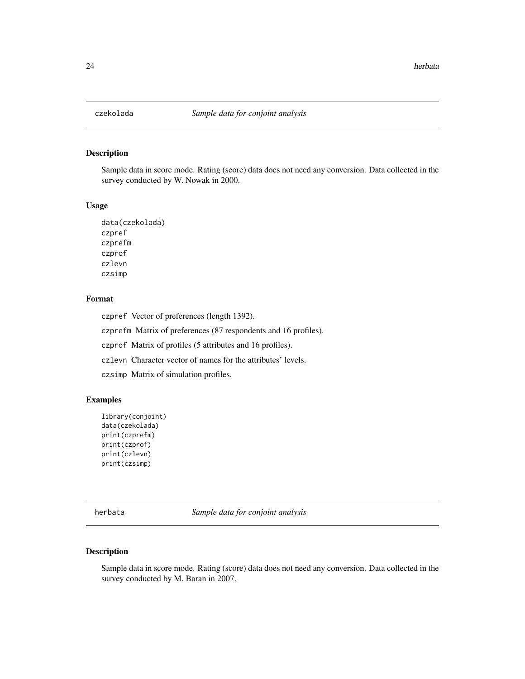<span id="page-23-0"></span>

# Description

Sample data in score mode. Rating (score) data does not need any conversion. Data collected in the survey conducted by W. Nowak in 2000.

#### Usage

```
data(czekolada)
czpref
czprefm
czprof
czlevn
czsimp
```
# Format

czpref Vector of preferences (length 1392). czprefm Matrix of preferences (87 respondents and 16 profiles). czprof Matrix of profiles (5 attributes and 16 profiles). czlevn Character vector of names for the attributes' levels. czsimp Matrix of simulation profiles.

# Examples

```
library(conjoint)
data(czekolada)
print(czprefm)
print(czprof)
print(czlevn)
print(czsimp)
```
herbata *Sample data for conjoint analysis*

# Description

Sample data in score mode. Rating (score) data does not need any conversion. Data collected in the survey conducted by M. Baran in 2007.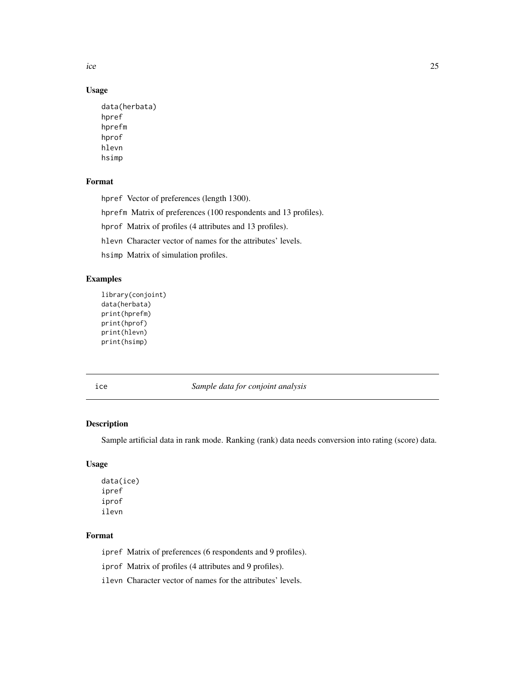<span id="page-24-0"></span>ice 25

# Usage

```
data(herbata)
hpref
hprefm
hprof
hlevn
hsimp
```
# Format

hpref Vector of preferences (length 1300).

hprefm Matrix of preferences (100 respondents and 13 profiles).

hprof Matrix of profiles (4 attributes and 13 profiles).

hlevn Character vector of names for the attributes' levels.

hsimp Matrix of simulation profiles.

# Examples

```
library(conjoint)
data(herbata)
print(hprefm)
print(hprof)
print(hlevn)
print(hsimp)
```
ice *Sample data for conjoint analysis*

# Description

Sample artificial data in rank mode. Ranking (rank) data needs conversion into rating (score) data.

# Usage

data(ice) ipref iprof ilevn

# Format

ipref Matrix of preferences (6 respondents and 9 profiles).

iprof Matrix of profiles (4 attributes and 9 profiles).

ilevn Character vector of names for the attributes' levels.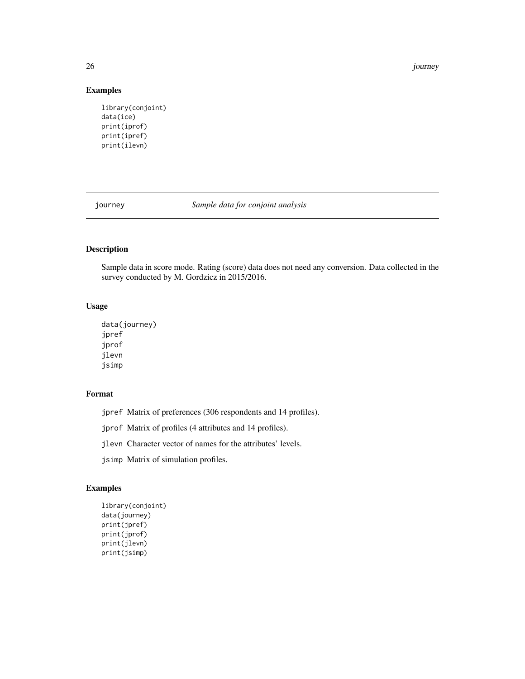26 journey and the set of the set of the set of the set of the set of the set of the set of the set of the set of the set of the set of the set of the set of the set of the set of the set of the set of the set of the set o

# Examples

```
library(conjoint)
data(ice)
print(iprof)
print(ipref)
print(ilevn)
```
journey *Sample data for conjoint analysis*

# Description

Sample data in score mode. Rating (score) data does not need any conversion. Data collected in the survey conducted by M. Gordzicz in 2015/2016.

# Usage

```
data(journey)
jpref
jprof
jlevn
jsimp
```
# Format

|  |  | jpref Matrix of preferences (306 respondents and 14 profiles). |  |  |
|--|--|----------------------------------------------------------------|--|--|
|  |  |                                                                |  |  |

jprof Matrix of profiles (4 attributes and 14 profiles).

jlevn Character vector of names for the attributes' levels.

jsimp Matrix of simulation profiles.

```
library(conjoint)
data(journey)
print(jpref)
print(jprof)
print(jlevn)
print(jsimp)
```
<span id="page-25-0"></span>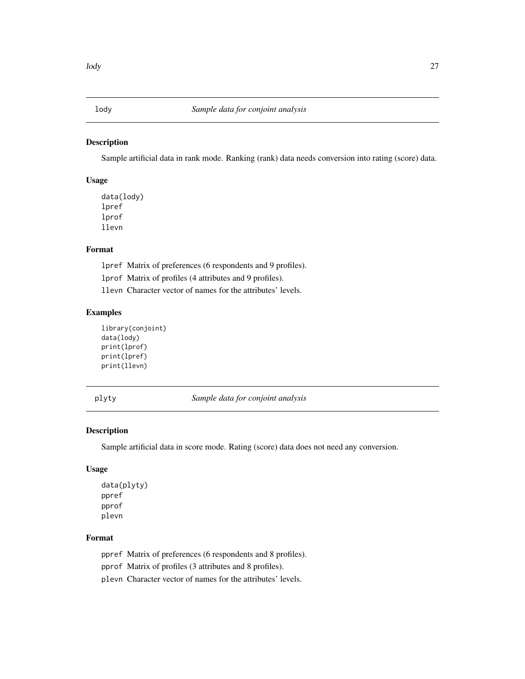<span id="page-26-0"></span>

# Description

Sample artificial data in rank mode. Ranking (rank) data needs conversion into rating (score) data.

# Usage

data(lody) lpref lprof llevn

# Format

lpref Matrix of preferences (6 respondents and 9 profiles). lprof Matrix of profiles (4 attributes and 9 profiles). llevn Character vector of names for the attributes' levels.

# Examples

```
library(conjoint)
data(lody)
print(lprof)
print(lpref)
print(llevn)
```
plyty *Sample data for conjoint analysis*

# Description

Sample artificial data in score mode. Rating (score) data does not need any conversion.

# Usage

```
data(plyty)
ppref
pprof
plevn
```
# Format

ppref Matrix of preferences (6 respondents and 8 profiles).

pprof Matrix of profiles (3 attributes and 8 profiles).

plevn Character vector of names for the attributes' levels.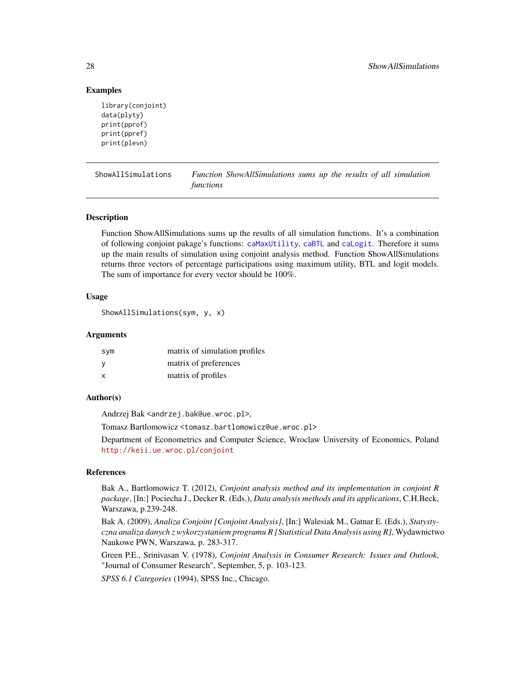# Examples

```
library(conjoint)
data(plyty)
print(pprof)
print(ppref)
print(plevn)
```
<span id="page-27-1"></span>ShowAllSimulations *Function ShowAllSimulations sums up the results of all simulation functions*

# Description

Function ShowAllSimulations sums up the results of all simulation functions. It's a combination of following conjoint pakage's functions: [caMaxUtility](#page-9-1), [caBTL](#page-1-1) and [caLogit](#page-8-1). Therefore it sums up the main results of simulation using conjoint analysis method. Function ShowAllSimulations returns three vectors of percentage participations using maximum utility, BTL and logit models. The sum of importance for every vector should be 100%.

# Usage

```
ShowAllSimulations(sym, y, x)
```
#### Arguments

| sym | matrix of simulation profiles |
|-----|-------------------------------|
| - V | matrix of preferences         |
| X   | matrix of profiles            |

#### Author(s)

Andrzej Bak <andrzej.bak@ue.wroc.pl>,

Tomasz Bartlomowicz <tomasz.bartlomowicz@ue.wroc.pl>

Department of Econometrics and Computer Science, Wroclaw University of Economics, Poland <http://keii.ue.wroc.pl/conjoint>

# References

Bak A., Bartlomowicz T. (2012), *Conjoint analysis method and its implementation in conjoint R package*, [In:] Pociecha J., Decker R. (Eds.), *Data analysis methods and its applications*, C.H.Beck, Warszawa, p.239-248.

Bak A. (2009), *Analiza Conjoint [Conjoint Analysis]*, [In:] Walesiak M., Gatnar E. (Eds.), *Statystyczna analiza danych z wykorzystaniem programu R [Statistical Data Analysis using R]*, Wydawnictwo Naukowe PWN, Warszawa, p. 283-317.

Green P.E., Srinivasan V. (1978), *Conjoint Analysis in Consumer Research: Issues and Outlook*, "Journal of Consumer Research", September, 5, p. 103-123.

*SPSS 6.1 Categories* (1994), SPSS Inc., Chicago.

<span id="page-27-0"></span>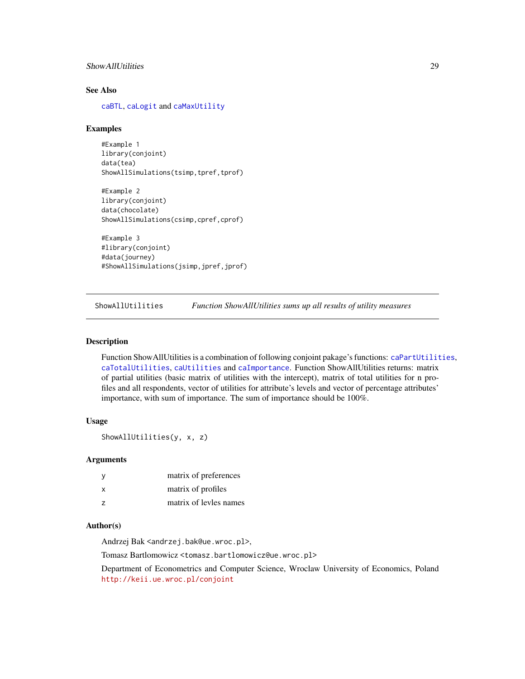# <span id="page-28-0"></span>ShowAllUtilities 29

# See Also

[caBTL](#page-1-1), [caLogit](#page-8-1) and [caMaxUtility](#page-9-1)

#### Examples

#Example 1 library(conjoint) data(tea) ShowAllSimulations(tsimp,tpref,tprof)

```
#Example 2
library(conjoint)
data(chocolate)
ShowAllSimulations(csimp,cpref,cprof)
```

```
#Example 3
#library(conjoint)
#data(journey)
#ShowAllSimulations(jsimp,jpref,jprof)
```
<span id="page-28-1"></span>ShowAllUtilities *Function ShowAllUtilities sums up all results of utility measures*

#### Description

Function ShowAllUtilities is a combination of following conjoint pakage's functions: [caPartUtilities](#page-12-1), [caTotalUtilities](#page-17-1), [caUtilities](#page-19-1) and [caImportance](#page-6-1). Function ShowAllUtilities returns: matrix of partial utilities (basic matrix of utilities with the intercept), matrix of total utilities for n profiles and all respondents, vector of utilities for attribute's levels and vector of percentage attributes' importance, with sum of importance. The sum of importance should be 100%.

# Usage

ShowAllUtilities(y, x, z)

#### Arguments

| - y            | matrix of preferences  |
|----------------|------------------------|
| X              | matrix of profiles     |
| $\overline{z}$ | matrix of levles names |

# Author(s)

Andrzej Bak <andrzej.bak@ue.wroc.pl>,

Tomasz Bartlomowicz <tomasz.bartlomowicz@ue.wroc.pl>

Department of Econometrics and Computer Science, Wroclaw University of Economics, Poland <http://keii.ue.wroc.pl/conjoint>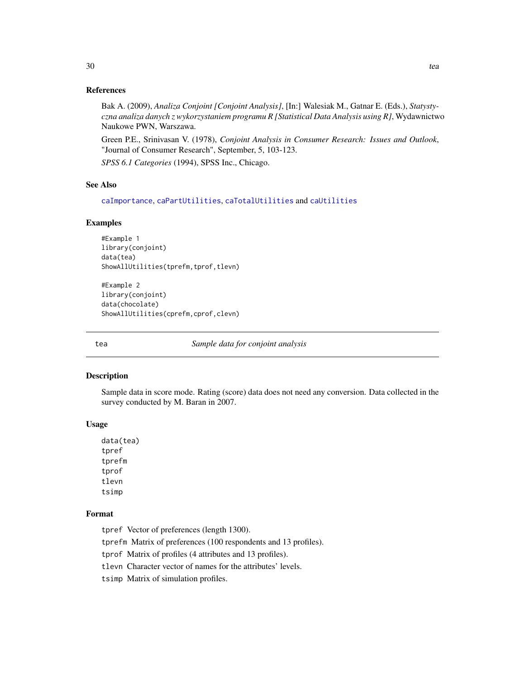# References

Bak A. (2009), *Analiza Conjoint [Conjoint Analysis]*, [In:] Walesiak M., Gatnar E. (Eds.), *Statystyczna analiza danych z wykorzystaniem programu R [Statistical Data Analysis using R]*, Wydawnictwo Naukowe PWN, Warszawa.

Green P.E., Srinivasan V. (1978), *Conjoint Analysis in Consumer Research: Issues and Outlook*, "Journal of Consumer Research", September, 5, 103-123.

*SPSS 6.1 Categories* (1994), SPSS Inc., Chicago.

# See Also

[caImportance](#page-6-1), [caPartUtilities](#page-12-1), [caTotalUtilities](#page-17-1) and [caUtilities](#page-19-1)

#### Examples

```
#Example 1
library(conjoint)
data(tea)
ShowAllUtilities(tprefm,tprof,tlevn)
```

```
#Example 2
library(conjoint)
data(chocolate)
ShowAllUtilities(cprefm,cprof,clevn)
```
tea *Sample data for conjoint analysis*

#### Description

Sample data in score mode. Rating (score) data does not need any conversion. Data collected in the survey conducted by M. Baran in 2007.

# Usage

data(tea) tpref tprefm tprof tlevn tsimp

# Format

tpref Vector of preferences (length 1300).

tprefm Matrix of preferences (100 respondents and 13 profiles).

tprof Matrix of profiles (4 attributes and 13 profiles).

tlevn Character vector of names for the attributes' levels.

tsimp Matrix of simulation profiles.

<span id="page-29-0"></span>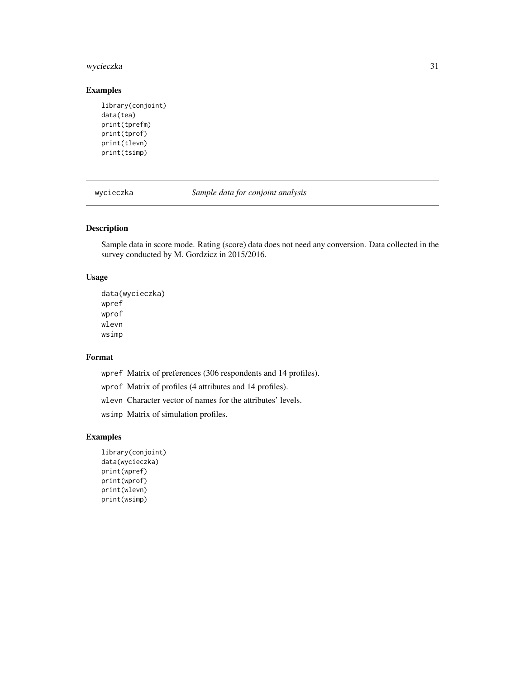# <span id="page-30-0"></span>wycieczka 31

# Examples

```
library(conjoint)
data(tea)
print(tprefm)
print(tprof)
print(tlevn)
print(tsimp)
```
wycieczka *Sample data for conjoint analysis*

# Description

Sample data in score mode. Rating (score) data does not need any conversion. Data collected in the survey conducted by M. Gordzicz in 2015/2016.

# Usage

```
data(wycieczka)
wpref
wprof
wlevn
wsimp
```
#### Format

wpref Matrix of preferences (306 respondents and 14 profiles).

wprof Matrix of profiles (4 attributes and 14 profiles).

wlevn Character vector of names for the attributes' levels.

wsimp Matrix of simulation profiles.

```
library(conjoint)
data(wycieczka)
print(wpref)
print(wprof)
print(wlevn)
print(wsimp)
```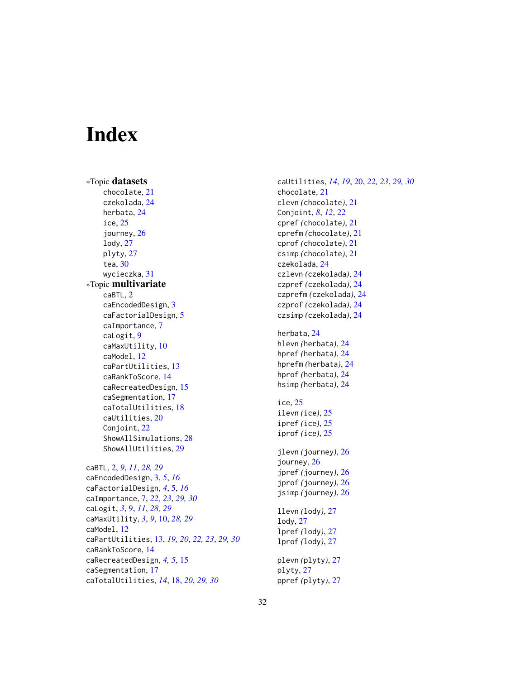# <span id="page-31-0"></span>**Index**

∗Topic datasets chocolate, [21](#page-20-0) czekolada, [24](#page-23-0) herbata, [24](#page-23-0) ice, [25](#page-24-0) journey, [26](#page-25-0) lody, [27](#page-26-0) plyty, [27](#page-26-0) tea, [30](#page-29-0) wycieczka, [31](#page-30-0) ∗Topic multivariate caBTL, [2](#page-1-0) caEncodedDesign, [3](#page-2-0) caFactorialDesign, [5](#page-4-0) caImportance, [7](#page-6-0) caLogit, [9](#page-8-0) caMaxUtility, [10](#page-9-0) caModel, [12](#page-11-0) caPartUtilities, [13](#page-12-0) caRankToScore, [14](#page-13-0) caRecreatedDesign, [15](#page-14-0) caSegmentation, [17](#page-16-0) caTotalUtilities, [18](#page-17-0) caUtilities, [20](#page-19-0) Conjoint, [22](#page-21-0) ShowAllSimulations, [28](#page-27-0) ShowAllUtilities, [29](#page-28-0) caBTL, [2,](#page-1-0) *[9](#page-8-0)*, *[11](#page-10-0)*, *[28,](#page-27-0) [29](#page-28-0)* caEncodedDesign, [3,](#page-2-0) *[5](#page-4-0)*, *[16](#page-15-0)* caFactorialDesign, *[4](#page-3-0)*, [5,](#page-4-0) *[16](#page-15-0)* caImportance, [7,](#page-6-0) *[22,](#page-21-0) [23](#page-22-0)*, *[29,](#page-28-0) [30](#page-29-0)* caLogit, *[3](#page-2-0)*, [9,](#page-8-0) *[11](#page-10-0)*, *[28,](#page-27-0) [29](#page-28-0)* caMaxUtility, *[3](#page-2-0)*, *[9](#page-8-0)*, [10,](#page-9-0) *[28,](#page-27-0) [29](#page-28-0)* caModel, [12](#page-11-0) caPartUtilities, [13,](#page-12-0) *[19,](#page-18-0) [20](#page-19-0)*, *[22,](#page-21-0) [23](#page-22-0)*, *[29,](#page-28-0) [30](#page-29-0)* caRankToScore, [14](#page-13-0) caRecreatedDesign, *[4,](#page-3-0) [5](#page-4-0)*, [15](#page-14-0) caSegmentation, [17](#page-16-0) caTotalUtilities, *[14](#page-13-0)*, [18,](#page-17-0) *[20](#page-19-0)*, *[29,](#page-28-0) [30](#page-29-0)*

caUtilities, *[14](#page-13-0)*, *[19](#page-18-0)*, [20,](#page-19-0) *[22,](#page-21-0) [23](#page-22-0)*, *[29,](#page-28-0) [30](#page-29-0)* chocolate, [21](#page-20-0) clevn *(*chocolate*)*, [21](#page-20-0) Conjoint, *[8](#page-7-0)*, *[12](#page-11-0)*, [22](#page-21-0) cpref *(*chocolate*)*, [21](#page-20-0) cprefm *(*chocolate*)*, [21](#page-20-0) cprof *(*chocolate*)*, [21](#page-20-0) csimp *(*chocolate*)*, [21](#page-20-0) czekolada, [24](#page-23-0) czlevn *(*czekolada*)*, [24](#page-23-0) czpref *(*czekolada*)*, [24](#page-23-0) czprefm *(*czekolada*)*, [24](#page-23-0) czprof *(*czekolada*)*, [24](#page-23-0) czsimp *(*czekolada*)*, [24](#page-23-0) herbata, [24](#page-23-0) hlevn *(*herbata*)*, [24](#page-23-0) hpref *(*herbata*)*, [24](#page-23-0) hprefm *(*herbata*)*, [24](#page-23-0) hprof *(*herbata*)*, [24](#page-23-0) hsimp *(*herbata*)*, [24](#page-23-0) ice, [25](#page-24-0) ilevn *(*ice*)*, [25](#page-24-0) ipref *(*ice*)*, [25](#page-24-0) iprof *(*ice*)*, [25](#page-24-0) jlevn *(*journey*)*, [26](#page-25-0) journey, [26](#page-25-0) jpref *(*journey*)*, [26](#page-25-0) jprof *(*journey*)*, [26](#page-25-0) jsimp *(*journey*)*, [26](#page-25-0) llevn *(*lody*)*, [27](#page-26-0) lody, [27](#page-26-0) lpref *(*lody*)*, [27](#page-26-0) lprof *(*lody*)*, [27](#page-26-0) plevn *(*plyty*)*, [27](#page-26-0) plyty, [27](#page-26-0) ppref *(*plyty*)*, [27](#page-26-0)